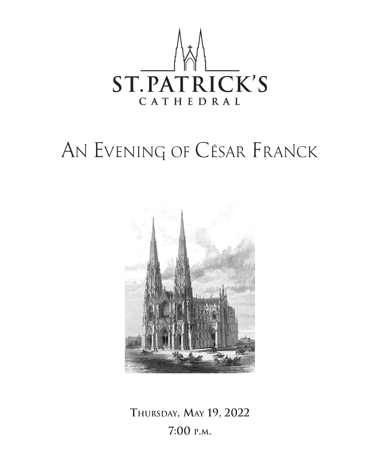

# AN EVENING OF CÉSAR FRANCK



**Thursday, May 19, 2022 7:00 p.m.**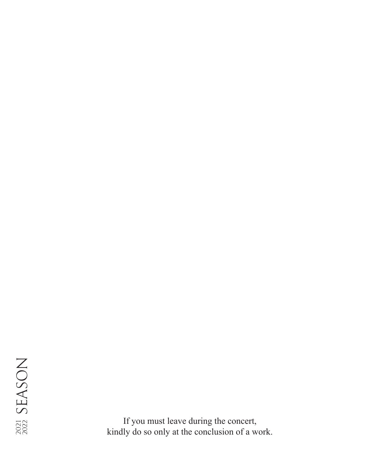If you must leave during the concert, kindly do so only at the conclusion of a work.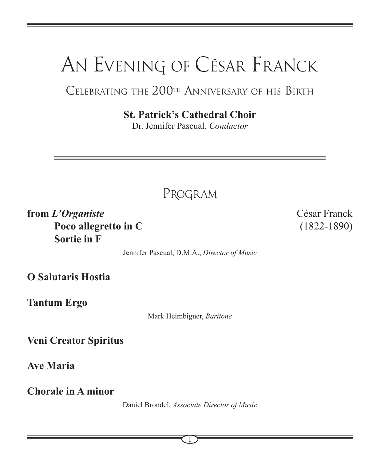# AN EVENING OF CÉSAR FRANCK

### Celebrating the 200th Anniversary of his Birth

**St. Patrick's Cathedral Choir**

Dr. Jennifer Pascual, *Conductor*

PROGRAM

**from** *L'Organiste* César Franck **Poco allegretto in C** (1822-1890)  **Sortie in F**

Jennifer Pascual, D.M.A., *Director of Music*

**O Salutaris Hostia**

**Tantum Ergo**

Mark Heimbigner, *Baritone*

**Veni Creator Spiritus**

**Ave Maria**

**Chorale in A minor**

Daniel Brondel, *Associate Director of Music*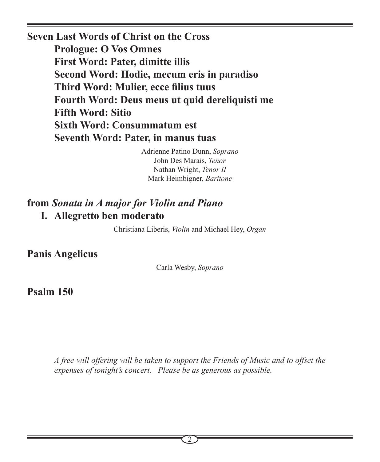**Seven Last Words of Christ on the Cross Prologue: O Vos Omnes First Word: Pater, dimitte illis Second Word: Hodie, mecum eris in paradiso Third Word: Mulier, ecce filius tuus Fourth Word: Deus meus ut quid dereliquisti me Fifth Word: Sitio Sixth Word: Consummatum est Seventh Word: Pater, in manus tuas**

> Adrienne Patino Dunn, *Soprano* John Des Marais, *Tenor* Nathan Wright, *Tenor II* Mark Heimbigner, *Baritone*

#### **from** *Sonata in A major for Violin and Piano* **I. Allegretto ben moderato**

Christiana Liberis, *Violin* and Michael Hey, *Organ*

**Panis Angelicus**

Carla Wesby, *Soprano*

**Psalm 150**

*A free-will offering will be taken to support the Friends of Music and to offset the expenses of tonight's concert. Please be as generous as possible.*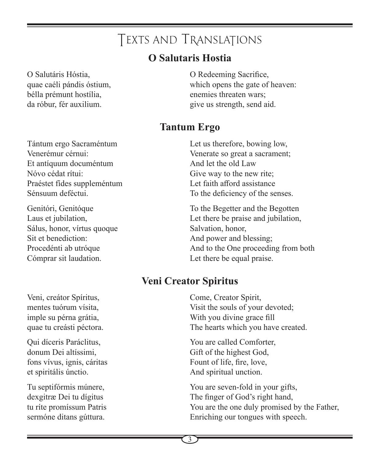# TEXTS AND TRANSLATIONS

#### **O Salutaris Hostia**

O Salutáris Hóstia, quae caéli pándis óstium, bélla prémunt hostília, da róbur, fér auxilium.

Tántum ergo Sacraméntum Venerémur cérnui: Et antíquum documéntum Nóvo cédat rítui: Praéstet fídes suppleméntum Sénsuum deféctui.

Genitóri, Genitóque Laus et jubilation, Sálus, honor, vírtus quoque Sit et benediction: Procedénti ab utróque Cómprar sit laudation.

O Redeeming Sacrifice, which opens the gate of heaven: enemies threaten wars; give us strength, send aid.

## **Tantum Ergo**

Let us therefore, bowing low, Venerate so great a sacrament; And let the old Law Give way to the new rite; Let faith afford assistance To the deficiency of the senses.

To the Begetter and the Begotten Let there be praise and jubilation, Salvation, honor, And power and blessing; And to the One proceeding from both Let there be equal praise.

#### **Veni Creator Spiritus**

Come, Creator Spirit, Visit the souls of your devoted; With you divine grace fill The hearts which you have created.

You are called Comforter, Gift of the highest God, Fount of life, fire, love, And spiritual unction.

You are seven-fold in your gifts, The finger of God's right hand, You are the one duly promised by the Father, Enriching our tongues with speech.

Veni, creátor Spíritus, mentes tuórum vísita, imple su pérna grátia, quae tu creásti péctora.

Qui díceris Paráclitus, donum Dei altíssimi, fons vívus, ignis, cáritas et spiritális únctio.

Tu septifórmis múnere, dexgitræ Dei tu dígitus tu ríte promíssum Patris sermóne ditans gúttura.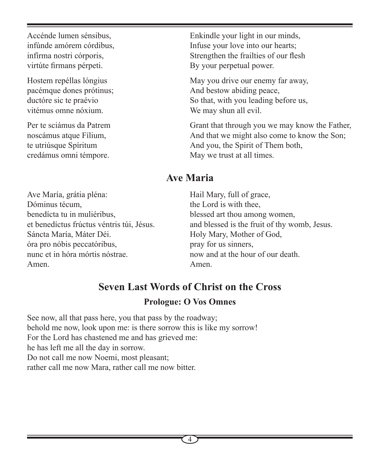Accénde lumen sénsibus, infúnde amórem córdibus, infírma nostri córporis, virtúte firmans pérpeti.

Hostem repéllas lóngius pacémque dones prótinus; ductóre sic te praévio vitémus omne nóxium.

Per te sciámus da Patrem noscámus atque Fílium, te utriúsque Spíritum credámus omni témpore.

Enkindle your light in our minds, Infuse your love into our hearts; Strengthen the frailties of our flesh By your perpetual power.

May you drive our enemy far away, And bestow abiding peace, So that, with you leading before us, We may shun all evil.

Grant that through you we may know the Father, And that we might also come to know the Son; And you, the Spirit of Them both, May we trust at all times.

#### **Ave Maria**

Ave María, grátia pléna: Dóminus técum, benedícta tu in muliéribus, et benedíctus frúctus véntris túi, Jésus. Sáncta María, Máter Déi. óra pro nóbis peccatóribus, nunc et in hóra mórtis nóstrae. Amen.

Hail Mary, full of grace, the Lord is with thee, blessed art thou among women, and blessed is the fruit of thy womb, Jesus. Holy Mary, Mother of God, pray for us sinners, now and at the hour of our death. Amen.

# **Seven Last Words of Christ on the Cross**

#### **Prologue: O Vos Omnes**

See now, all that pass here, you that pass by the roadway; behold me now, look upon me: is there sorrow this is like my sorrow! For the Lord has chastened me and has grieved me: he has left me all the day in sorrow. Do not call me now Noemi, most pleasant; rather call me now Mara, rather call me now bitter.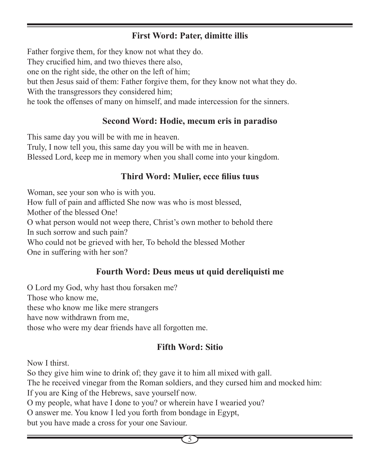#### **First Word: Pater, dimitte illis**

Father forgive them, for they know not what they do. They crucified him, and two thieves there also, one on the right side, the other on the left of him; but then Jesus said of them: Father forgive them, for they know not what they do. With the transgressors they considered him; he took the offenses of many on himself, and made intercession for the sinners.

#### **Second Word: Hodie, mecum eris in paradiso**

This same day you will be with me in heaven. Truly, I now tell you, this same day you will be with me in heaven. Blessed Lord, keep me in memory when you shall come into your kingdom.

#### **Third Word: Mulier, ecce filius tuus**

Woman, see your son who is with you. How full of pain and afflicted She now was who is most blessed, Mother of the blessed One! O what person would not weep there, Christ's own mother to behold there In such sorrow and such pain? Who could not be grieved with her, To behold the blessed Mother One in suffering with her son?

#### **Fourth Word: Deus meus ut quid dereliquisti me**

O Lord my God, why hast thou forsaken me? Those who know me, these who know me like mere strangers have now withdrawn from me, those who were my dear friends have all forgotten me.

#### **Fifth Word: Sitio**

Now I thirst.

So they give him wine to drink of; they gave it to him all mixed with gall. The he received vinegar from the Roman soldiers, and they cursed him and mocked him: If you are King of the Hebrews, save yourself now. O my people, what have I done to you? or wherein have I wearied you? O answer me. You know I led you forth from bondage in Egypt, but you have made a cross for your one Saviour.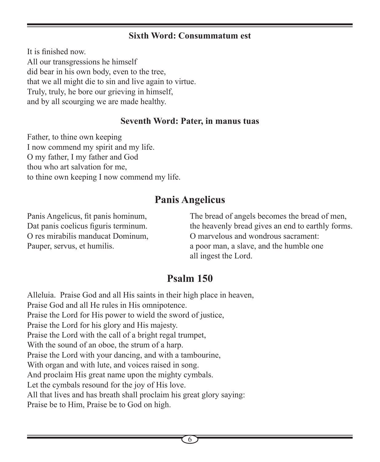#### **Sixth Word: Consummatum est**

It is finished now. All our transgressions he himself did bear in his own body, even to the tree, that we all might die to sin and live again to virtue. Truly, truly, he bore our grieving in himself, and by all scourging we are made healthy.

#### **Seventh Word: Pater, in manus tuas**

Father, to thine own keeping I now commend my spirit and my life. O my father, I my father and God thou who art salvation for me, to thine own keeping I now commend my life.

#### **Panis Angelicus**

Panis Angelicus, fit panis hominum, Dat panis coelicus figuris terminum. O res mirabilis manducat Dominum, Pauper, servus, et humilis.

The bread of angels becomes the bread of men, the heavenly bread gives an end to earthly forms. O marvelous and wondrous sacrament: a poor man, a slave, and the humble one all ingest the Lord.

#### **Psalm 150**

Alleluia. Praise God and all His saints in their high place in heaven, Praise God and all He rules in His omnipotence. Praise the Lord for His power to wield the sword of justice, Praise the Lord for his glory and His majesty. Praise the Lord with the call of a bright regal trumpet, With the sound of an oboe, the strum of a harp. Praise the Lord with your dancing, and with a tambourine, With organ and with lute, and voices raised in song. And proclaim His great name upon the mighty cymbals. Let the cymbals resound for the joy of His love. All that lives and has breath shall proclaim his great glory saying: Praise be to Him, Praise be to God on high.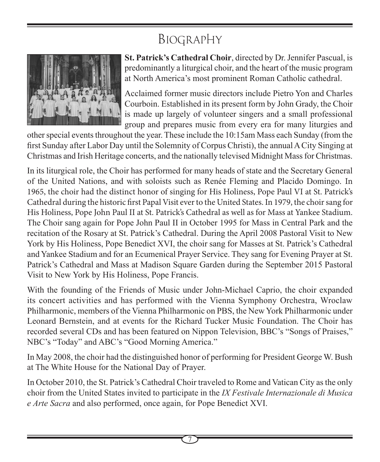# BIOGRAPHY



**St. Patrick's Cathedral Choir**, directed by Dr. Jennifer Pascual, is predominantly a liturgical choir, and the heart of the music program at North America's most prominent Roman Catholic cathedral.

Acclaimed former music directors include Pietro Yon and Charles Courboin. Established in its present form by John Grady, the Choir is made up largely of volunteer singers and a small professional group and prepares music from every era for many liturgies and

other special events throughout the year. These include the 10:15am Mass each Sunday (from the first Sunday after Labor Day until the Solemnity of Corpus Christi), the annual A City Singing at Christmas and Irish Heritage concerts, and the nationally televised Midnight Mass for Christmas.

In its liturgical role, the Choir has performed for many heads of state and the Secretary General of the United Nations, and with soloists such as Renée Fleming and Placido Domingo. In 1965, the choir had the distinct honor of singing for His Holiness, Pope Paul VI at St. Patrick's Cathedral during the historic first Papal Visit ever to the United States. In 1979, the choir sang for His Holiness, Pope John Paul II at St. Patrick's Cathedral as well as for Mass at Yankee Stadium. The Choir sang again for Pope John Paul II in October 1995 for Mass in Central Park and the recitation of the Rosary at St. Patrick's Cathedral. During the April 2008 Pastoral Visit to New York by His Holiness, Pope Benedict XVI, the choir sang for Masses at St. Patrick's Cathedral and Yankee Stadium and for an Ecumenical Prayer Service. They sang for Evening Prayer at St. Patrick's Cathedral and Mass at Madison Square Garden during the September 2015 Pastoral Visit to New York by His Holiness, Pope Francis.

With the founding of the Friends of Music under John-Michael Caprio, the choir expanded its concert activities and has performed with the Vienna Symphony Orchestra, Wroclaw Philharmonic, members of the Vienna Philharmonic on PBS, the New York Philharmonic under Leonard Bernstein, and at events for the Richard Tucker Music Foundation. The Choir has recorded several CDs and has been featured on Nippon Television, BBC's "Songs of Praises," NBC's "Today" and ABC's "Good Morning America."

In May 2008, the choir had the distinguished honor of performing for President George W. Bush at The White House for the National Day of Prayer.

In October 2010, the St. Patrick's Cathedral Choir traveled to Rome and Vatican City as the only choir from the United States invited to participate in the *IX Festivale Internazionale di Musica e Arte Sacra* and also performed, once again, for Pope Benedict XVI.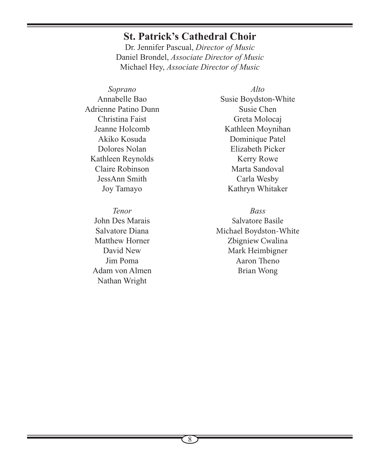#### **St. Patrick's Cathedral Choir**

Dr. Jennifer Pascual, *Director of Music* Daniel Brondel, *Associate Director of Music* Michael Hey, *Associate Director of Music*

*Soprano* Annabelle Bao Adrienne Patino Dunn Christina Faist Jeanne Holcomb Akiko Kosuda Dolores Nolan Kathleen Reynolds Claire Robinson JessAnn Smith Joy Tamayo

*Tenor* John Des Marais Salvatore Diana Matthew Horner David New Jim Poma Adam von Almen Nathan Wright

*Alto* Susie Boydston-White Susie Chen Greta Molocaj Kathleen Moynihan Dominique Patel Elizabeth Picker Kerry Rowe Marta Sandoval Carla Wesby Kathryn Whitaker

*Bass* Salvatore Basile Michael Boydston-White Zbigniew Cwalina Mark Heimbigner

> Aaron Theno Brian Wong

8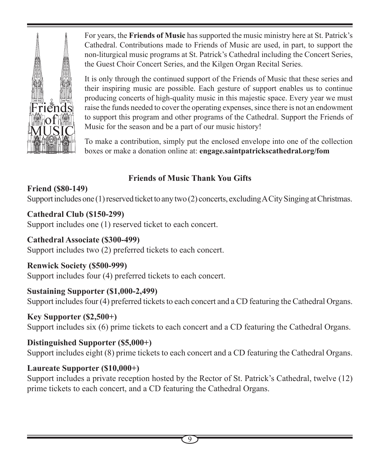Friend

For years, the **Friends of Music** has supported the music ministry here at St. Patrick's Cathedral. Contributions made to Friends of Music are used, in part, to support the non-liturgical music programs at St. Patrick's Cathedral including the Concert Series, the Guest Choir Concert Series, and the Kilgen Organ Recital Series.

It is only through the continued support of the Friends of Music that these series and their inspiring music are possible. Each gesture of support enables us to continue producing concerts of high-quality music in this majestic space. Every year we must raise the funds needed to cover the operating expenses, since there is not an endowment to support this program and other programs of the Cathedral. Support the Friends of Music for the season and be a part of our music history!

To make a contribution, simply put the enclosed envelope into one of the collection boxes or make a donation online at: **engage.saintpatrickscathedral.org/fom**

#### **Friends of Music Thank You Gifts**

**Friend (\$80-149)** Support includes one (1) reserved ticket to any two (2) concerts, excluding A City Singing at Christmas.

**Cathedral Club (\$150-299)** Support includes one (1) reserved ticket to each concert.

**Cathedral Associate (\$300-499)** Support includes two (2) preferred tickets to each concert.

**Renwick Society (\$500-999)** Support includes four (4) preferred tickets to each concert.

**Sustaining Supporter (\$1,000-2,499)**

Support includes four (4) preferred tickets to each concert and a CD featuring the Cathedral Organs.

**Key Supporter (\$2,500+)**

Support includes six (6) prime tickets to each concert and a CD featuring the Cathedral Organs.

**Distinguished Supporter (\$5,000+)** Support includes eight (8) prime tickets to each concert and a CD featuring the Cathedral Organs.

#### **Laureate Supporter (\$10,000+)**

Support includes a private reception hosted by the Rector of St. Patrick's Cathedral, twelve (12) prime tickets to each concert, and a CD featuring the Cathedral Organs.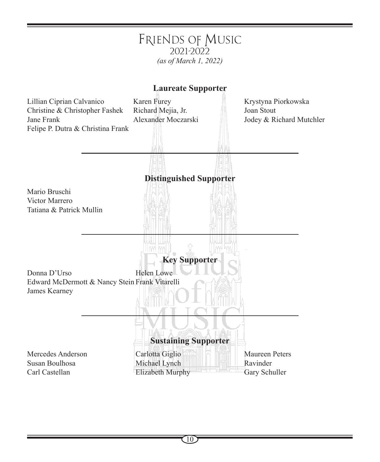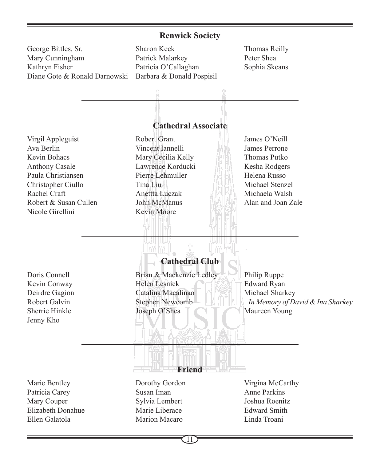#### **Renwick Society**

George Bittles, Sr. Mary Cunningham Kathryn Fisher Diane Gote & Ronald Darnowski

Sharon Keck Patrick Malarkey Patricia O'Callaghan Barbara & Donald Pospisil Thomas Reilly Peter Shea Sophia Skeans

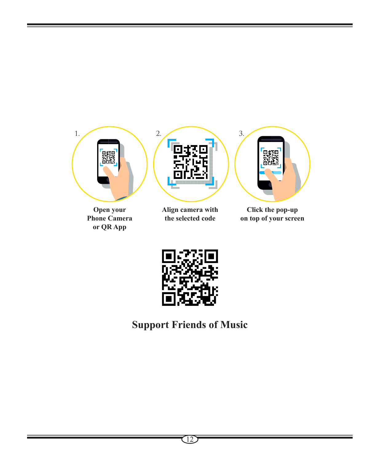

**Open your Phone Camera or QR App**



**the selected code**



**Click the pop-up on top of your screen**



## **Support Friends of Music**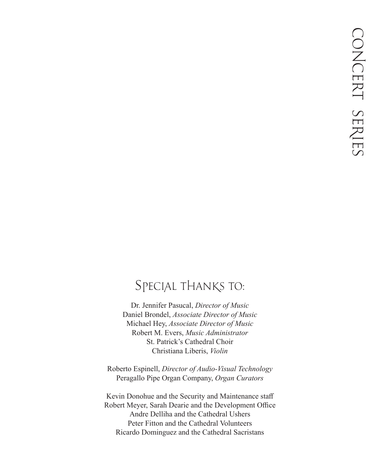#### SPECIAL THANKS TO:

Dr. Jennifer Pasucal, *Director of Music* Daniel Brondel, *Associate Director of Music* Michael Hey, *Associate Director of Music* Robert M. Evers, *Music Administrator* St. Patrick's Cathedral Choir Christiana Liberis, *Violin*

Roberto Espinell, *Director of Audio-Visual Technology*  Peragallo Pipe Organ Company, *Organ Curators*

Kevin Donohue and the Security and Maintenance staff Robert Meyer, Sarah Dearie and the Development Office Andre Delliha and the Cathedral Ushers Peter Fitton and the Cathedral Volunteers Ricardo Dominguez and the Cathedral Sacristans